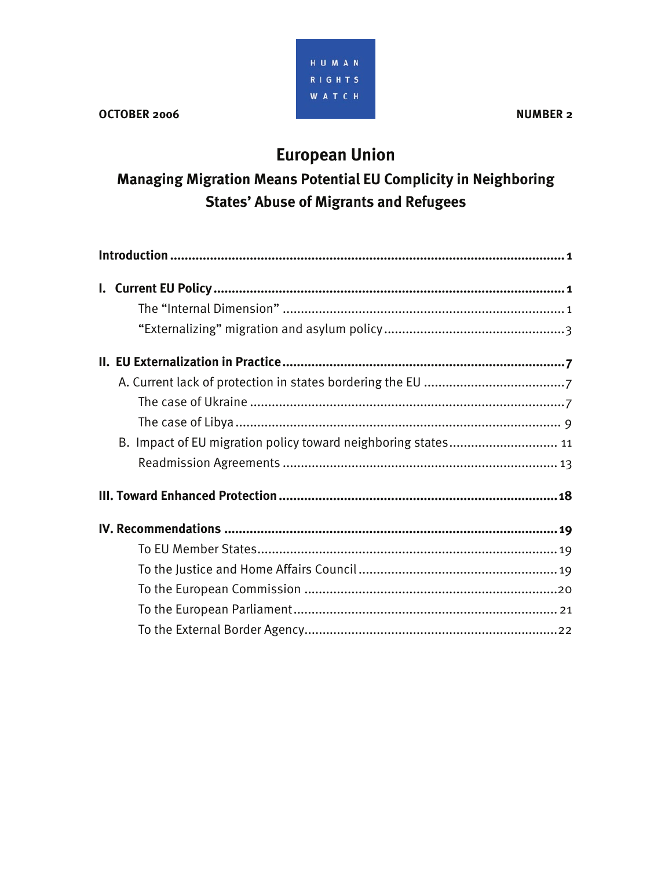

# **European Union**

**Managing Migration Means Potential EU Complicity in Neighboring States' Abuse of Migrants and Refugees** 

| B. Impact of EU migration policy toward neighboring states 11 |  |
|---------------------------------------------------------------|--|
|                                                               |  |
|                                                               |  |
|                                                               |  |
|                                                               |  |
|                                                               |  |
|                                                               |  |
|                                                               |  |
|                                                               |  |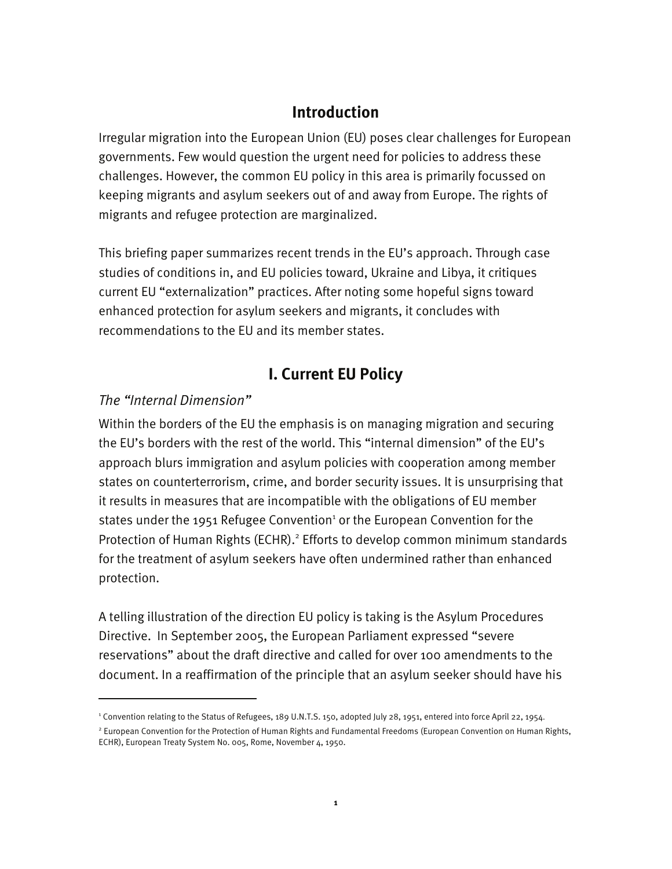## **Introduction**

Irregular migration into the European Union (EU) poses clear challenges for European governments. Few would question the urgent need for policies to address these challenges. However, the common EU policy in this area is primarily focussed on keeping migrants and asylum seekers out of and away from Europe. The rights of migrants and refugee protection are marginalized.

This briefing paper summarizes recent trends in the EU's approach. Through case studies of conditions in, and EU policies toward, Ukraine and Libya, it critiques current EU "externalization" practices. After noting some hopeful signs toward enhanced protection for asylum seekers and migrants, it concludes with recommendations to the EU and its member states.

## **I. Current EU Policy**

### *The "Internal Dimension"*

-

Within the borders of the EU the emphasis is on managing migration and securing the EU's borders with the rest of the world. This "internal dimension" of the EU's approach blurs immigration and asylum policies with cooperation among member states on counterterrorism, crime, and border security issues. It is unsurprising that it results in measures that are incompatible with the obligations of EU member states under the 1951 Refugee Convention<sup>1</sup> or the European Convention for the Protection of Human Rights (ECHR).<sup>2</sup> Efforts to develop common minimum standards for the treatment of asylum seekers have often undermined rather than enhanced protection.

A telling illustration of the direction EU policy is taking is the Asylum Procedures Directive. In September 2005, the European Parliament expressed "severe reservations" about the draft directive and called for over 100 amendments to the document. In a reaffirmation of the principle that an asylum seeker should have his

<sup>1</sup> Convention relating to the Status of Refugees, 189 U.N.T.S. 150, adopted July 28, 1951, entered into force April 22, 1954.

<sup>&</sup>lt;sup>2</sup> European Convention for the Protection of Human Rights and Fundamental Freedoms (European Convention on Human Rights, ECHR), European Treaty System No. 005, Rome, November 4, 1950.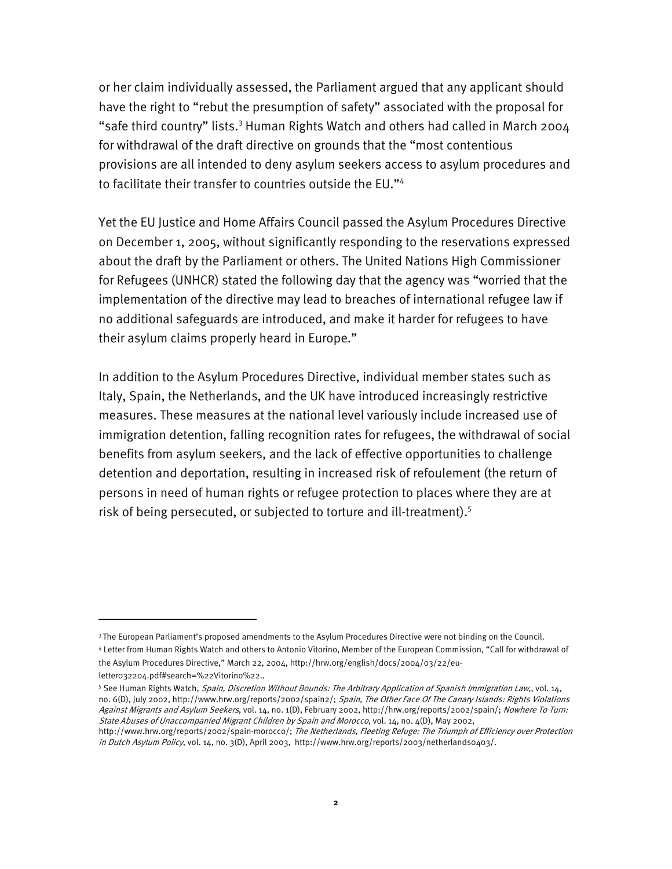or her claim individually assessed, the Parliament argued that any applicant should have the right to "rebut the presumption of safety" associated with the proposal for "safe third country" lists.<sup>3</sup> Human Rights Watch and others had called in March 2004 for withdrawal of the draft directive on grounds that the "most contentious provisions are all intended to deny asylum seekers access to asylum procedures and to facilitate their transfer to countries outside the EU."4

Yet the EU Justice and Home Affairs Council passed the Asylum Procedures Directive on December 1, 2005, without significantly responding to the reservations expressed about the draft by the Parliament or others. The United Nations High Commissioner for Refugees (UNHCR) stated the following day that the agency was "worried that the implementation of the directive may lead to breaches of international refugee law if no additional safeguards are introduced, and make it harder for refugees to have their asylum claims properly heard in Europe."

In addition to the Asylum Procedures Directive, individual member states such as Italy, Spain, the Netherlands, and the UK have introduced increasingly restrictive measures. These measures at the national level variously include increased use of immigration detention, falling recognition rates for refugees, the withdrawal of social benefits from asylum seekers, and the lack of effective opportunities to challenge detention and deportation, resulting in increased risk of refoulement (the return of persons in need of human rights or refugee protection to places where they are at risk of being persecuted, or subjected to torture and ill-treatment).5

<sup>&</sup>lt;sup>3</sup> The European Parliament's proposed amendments to the Asylum Procedures Directive were not binding on the Council. 4 Letter from Human Rights Watch and others to Antonio Vitorino, Member of the European Commission, "Call for withdrawal of

the Asylum Procedures Directive," March 22, 2004, http://hrw.org/english/docs/2004/03/22/eu-

letter032204.pdf#search=%22Vitorino%22..

<sup>&</sup>lt;sup>5</sup> See Human Rights Watch, *Spain, Discretion Without Bounds: The Arbitrary Application of Spanish Immigration Law,, vol. 14,* no. 6(D), July 2002, http://www.hrw.org/reports/2002/spain2/; Spain, The Other Face Of The Canary Islands: Rights Violations Against Migrants and Asylum Seekers, vol. 14, no. 1(D), February 2002, http://hrw.org/reports/2002/spain/; Nowhere To Turn: State Abuses of Unaccompanied Migrant Children by Spain and Morocco, vol. 14, no. 4(D), May 2002,

http://www.hrw.org/reports/2002/spain-morocco/; The Netherlands, Fleeting Refuge: The Triumph of Efficiency over Protection in Dutch Asylum Policy, vol. 14, no. 3(D), April 2003, http://www.hrw.org/reports/2003/netherlands0403/.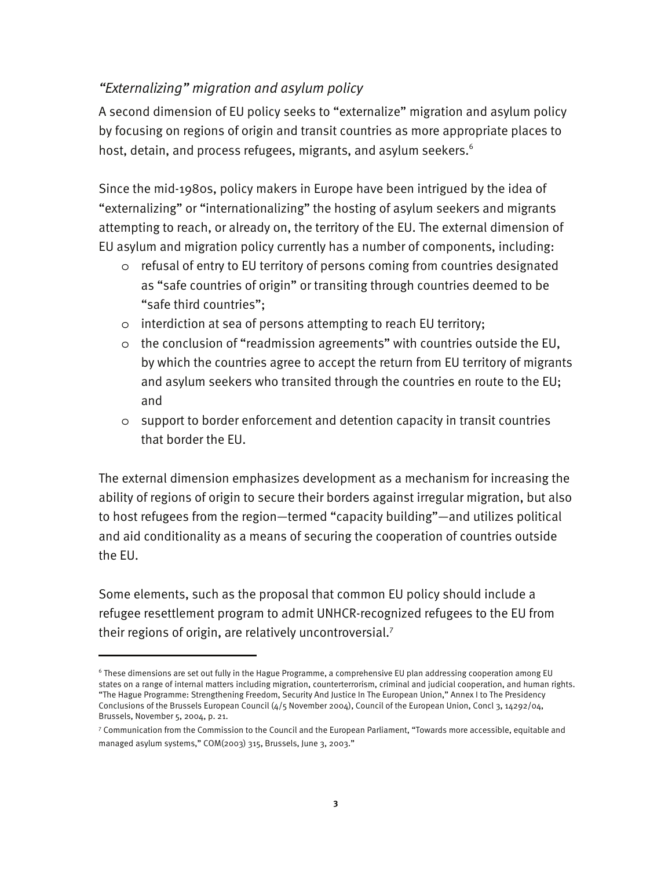#### *"Externalizing" migration and asylum policy*

A second dimension of EU policy seeks to "externalize" migration and asylum policy by focusing on regions of origin and transit countries as more appropriate places to host, detain, and process refugees, migrants, and asylum seekers. $^6$ 

Since the mid-1980s, policy makers in Europe have been intrigued by the idea of "externalizing" or "internationalizing" the hosting of asylum seekers and migrants attempting to reach, or already on, the territory of the EU. The external dimension of EU asylum and migration policy currently has a number of components, including:

- o refusal of entry to EU territory of persons coming from countries designated as "safe countries of origin" or transiting through countries deemed to be "safe third countries";
- o interdiction at sea of persons attempting to reach EU territory;
- o the conclusion of "readmission agreements" with countries outside the EU, by which the countries agree to accept the return from EU territory of migrants and asylum seekers who transited through the countries en route to the EU; and
- o support to border enforcement and detention capacity in transit countries that border the EU.

The external dimension emphasizes development as a mechanism for increasing the ability of regions of origin to secure their borders against irregular migration, but also to host refugees from the region—termed "capacity building"—and utilizes political and aid conditionality as a means of securing the cooperation of countries outside the EU.

Some elements, such as the proposal that common EU policy should include a refugee resettlement program to admit UNHCR-recognized refugees to the EU from their regions of origin, are relatively uncontroversial.<sup>7</sup>

<sup>6</sup> These dimensions are set out fully in the Hague Programme, a comprehensive EU plan addressing cooperation among EU states on a range of internal matters including migration, counterterrorism, criminal and judicial cooperation, and human rights. "The Hague Programme: Strengthening Freedom, Security And Justice In The European Union," Annex I to The Presidency Conclusions of the Brussels European Council (4/5 November 2004), Council of the European Union, Concl 3, 14292/04, Brussels, November 5, 2004, p. 21.

<sup>7</sup> Communication from the Commission to the Council and the European Parliament, "Towards more accessible, equitable and managed asylum systems," COM(2003) 315, Brussels, June 3, 2003."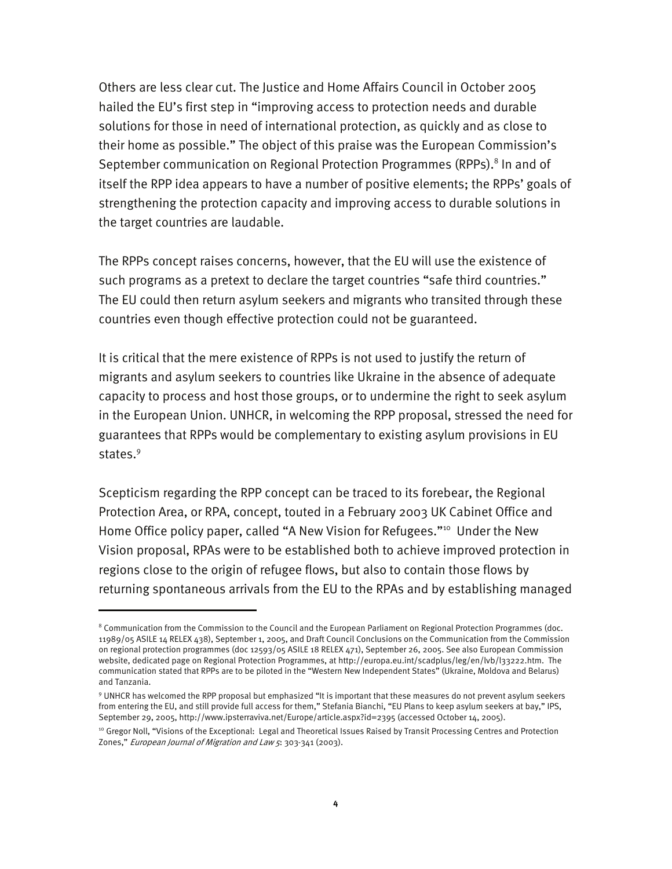Others are less clear cut. The Justice and Home Affairs Council in October 2005 hailed the EU's first step in "improving access to protection needs and durable solutions for those in need of international protection, as quickly and as close to their home as possible." The object of this praise was the European Commission's September communication on Regional Protection Programmes (RPPs).<sup>8</sup> In and of itself the RPP idea appears to have a number of positive elements; the RPPs' goals of strengthening the protection capacity and improving access to durable solutions in the target countries are laudable.

The RPPs concept raises concerns, however, that the EU will use the existence of such programs as a pretext to declare the target countries "safe third countries." The EU could then return asylum seekers and migrants who transited through these countries even though effective protection could not be guaranteed.

It is critical that the mere existence of RPPs is not used to justify the return of migrants and asylum seekers to countries like Ukraine in the absence of adequate capacity to process and host those groups, or to undermine the right to seek asylum in the European Union. UNHCR, in welcoming the RPP proposal, stressed the need for guarantees that RPPs would be complementary to existing asylum provisions in EU states.<sup>9</sup>

Scepticism regarding the RPP concept can be traced to its forebear, the Regional Protection Area, or RPA, concept, touted in a February 2003 UK Cabinet Office and Home Office policy paper, called "A New Vision for Refugees."<sup>10</sup> Under the New Vision proposal, RPAs were to be established both to achieve improved protection in regions close to the origin of refugee flows, but also to contain those flows by returning spontaneous arrivals from the EU to the RPAs and by establishing managed

<sup>&</sup>lt;sup>8</sup> Communication from the Commission to the Council and the European Parliament on Regional Protection Programmes (doc. 11989/05 ASILE 14 RELEX 438), September 1, 2005, and Draft Council Conclusions on the Communication from the Commission on regional protection programmes (doc 12593/05 ASILE 18 RELEX 471), September 26, 2005. See also European Commission website, dedicated page on Regional Protection Programmes, at http://europa.eu.int/scadplus/leg/en/lvb/l33222.htm. The communication stated that RPPs are to be piloted in the "Western New Independent States" (Ukraine, Moldova and Belarus) and Tanzania.

<sup>9</sup> UNHCR has welcomed the RPP proposal but emphasized "It is important that these measures do not prevent asylum seekers from entering the EU, and still provide full access for them," Stefania Bianchi, "EU Plans to keep asylum seekers at bay," IPS, September 29, 2005, http://www.ipsterraviva.net/Europe/article.aspx?id=2395 (accessed October 14, 2005).

<sup>&</sup>lt;sup>10</sup> Gregor Noll, "Visions of the Exceptional: Legal and Theoretical Issues Raised by Transit Processing Centres and Protection Zones," European Journal of Migration and Law 5: 303-341 (2003).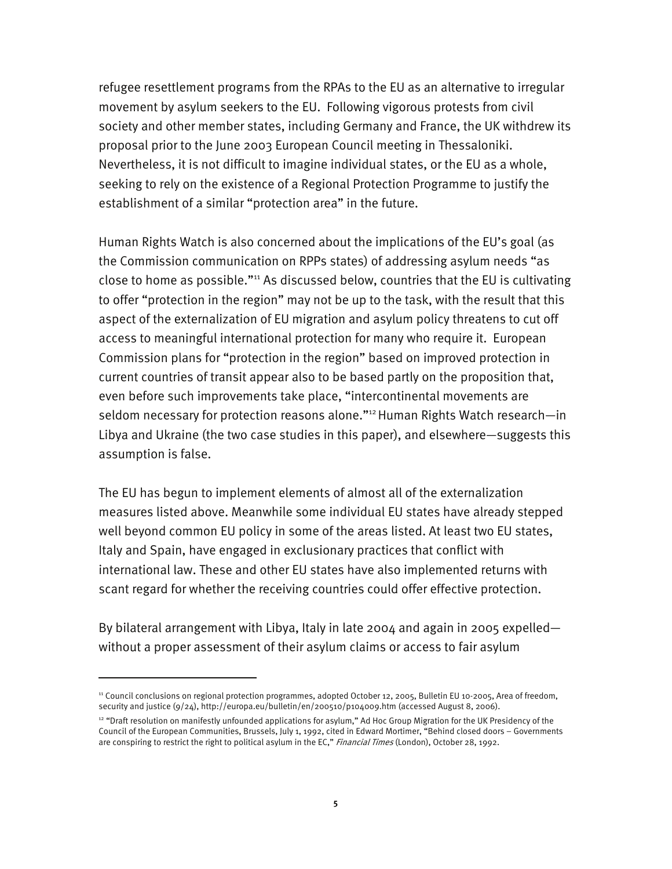refugee resettlement programs from the RPAs to the EU as an alternative to irregular movement by asylum seekers to the EU. Following vigorous protests from civil society and other member states, including Germany and France, the UK withdrew its proposal prior to the June 2003 European Council meeting in Thessaloniki. Nevertheless, it is not difficult to imagine individual states, or the EU as a whole, seeking to rely on the existence of a Regional Protection Programme to justify the establishment of a similar "protection area" in the future.

Human Rights Watch is also concerned about the implications of the EU's goal (as the Commission communication on RPPs states) of addressing asylum needs "as close to home as possible."11 As discussed below, countries that the EU is cultivating to offer "protection in the region" may not be up to the task, with the result that this aspect of the externalization of EU migration and asylum policy threatens to cut off access to meaningful international protection for many who require it. European Commission plans for "protection in the region" based on improved protection in current countries of transit appear also to be based partly on the proposition that, even before such improvements take place, "intercontinental movements are seldom necessary for protection reasons alone."<sup>12</sup> Human Rights Watch research—in Libya and Ukraine (the two case studies in this paper), and elsewhere—suggests this assumption is false.

The EU has begun to implement elements of almost all of the externalization measures listed above. Meanwhile some individual EU states have already stepped well beyond common EU policy in some of the areas listed. At least two EU states, Italy and Spain, have engaged in exclusionary practices that conflict with international law. These and other EU states have also implemented returns with scant regard for whether the receiving countries could offer effective protection.

By bilateral arrangement with Libya, Italy in late 2004 and again in 2005 expelled without a proper assessment of their asylum claims or access to fair asylum

-

<sup>11</sup> Council conclusions on regional protection programmes, adopted October 12, 2005, Bulletin EU 10-2005, Area of freedom, security and justice (9/24), http://europa.eu/bulletin/en/200510/p104009.htm (accessed August 8, 2006).

<sup>&</sup>lt;sup>12</sup> "Draft resolution on manifestly unfounded applications for asylum," Ad Hoc Group Migration for the UK Presidency of the Council of the European Communities, Brussels, July 1, 1992, cited in Edward Mortimer, "Behind closed doors – Governments are conspiring to restrict the right to political asylum in the EC," Financial Times (London), October 28, 1992.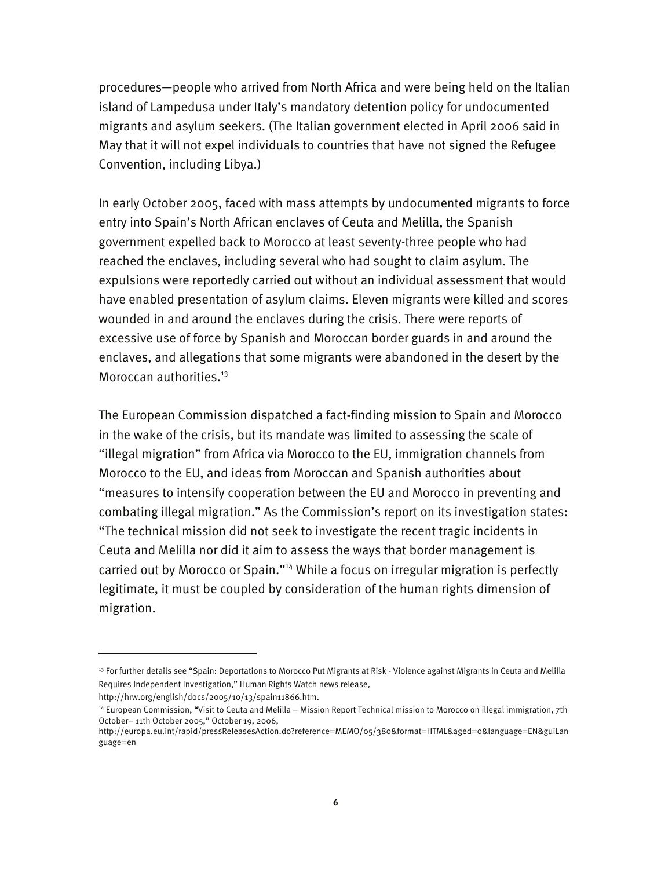procedures—people who arrived from North Africa and were being held on the Italian island of Lampedusa under Italy's mandatory detention policy for undocumented migrants and asylum seekers. (The Italian government elected in April 2006 said in May that it will not expel individuals to countries that have not signed the Refugee Convention, including Libya.)

In early October 2005, faced with mass attempts by undocumented migrants to force entry into Spain's North African enclaves of Ceuta and Melilla, the Spanish government expelled back to Morocco at least seventy-three people who had reached the enclaves, including several who had sought to claim asylum. The expulsions were reportedly carried out without an individual assessment that would have enabled presentation of asylum claims. Eleven migrants were killed and scores wounded in and around the enclaves during the crisis. There were reports of excessive use of force by Spanish and Moroccan border guards in and around the enclaves, and allegations that some migrants were abandoned in the desert by the Moroccan authorities.<sup>13</sup>

The European Commission dispatched a fact-finding mission to Spain and Morocco in the wake of the crisis, but its mandate was limited to assessing the scale of "illegal migration" from Africa via Morocco to the EU, immigration channels from Morocco to the EU, and ideas from Moroccan and Spanish authorities about "measures to intensify cooperation between the EU and Morocco in preventing and combating illegal migration." As the Commission's report on its investigation states: "The technical mission did not seek to investigate the recent tragic incidents in Ceuta and Melilla nor did it aim to assess the ways that border management is carried out by Morocco or Spain."<sup>14</sup> While a focus on irregular migration is perfectly legitimate, it must be coupled by consideration of the human rights dimension of migration.

<sup>&</sup>lt;sup>13</sup> For further details see "Spain: Deportations to Morocco Put Migrants at Risk - Violence against Migrants in Ceuta and Melilla Requires Independent Investigation," Human Rights Watch news release,

http://hrw.org/english/docs/2005/10/13/spain11866.htm.

<sup>14</sup> European Commission, "Visit to Ceuta and Melilla – Mission Report Technical mission to Morocco on illegal immigration, 7th October– 11th October 2005," October 19, 2006,

http://europa.eu.int/rapid/pressReleasesAction.do?reference=MEMO/05/380&format=HTML&aged=0&language=EN&guiLan guage=en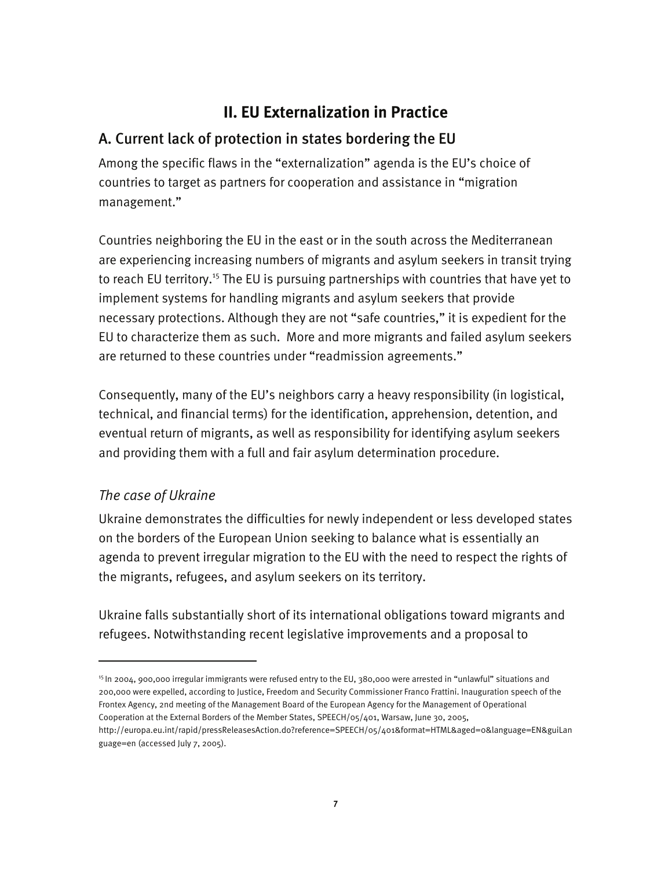## **II. EU Externalization in Practice**

## A. Current lack of protection in states bordering the EU

Among the specific flaws in the "externalization" agenda is the EU's choice of countries to target as partners for cooperation and assistance in "migration management."

Countries neighboring the EU in the east or in the south across the Mediterranean are experiencing increasing numbers of migrants and asylum seekers in transit trying to reach EU territory.<sup>15</sup> The EU is pursuing partnerships with countries that have yet to implement systems for handling migrants and asylum seekers that provide necessary protections. Although they are not "safe countries," it is expedient for the EU to characterize them as such. More and more migrants and failed asylum seekers are returned to these countries under "readmission agreements."

Consequently, many of the EU's neighbors carry a heavy responsibility (in logistical, technical, and financial terms) for the identification, apprehension, detention, and eventual return of migrants, as well as responsibility for identifying asylum seekers and providing them with a full and fair asylum determination procedure.

## *The case of Ukraine*

I

Ukraine demonstrates the difficulties for newly independent or less developed states on the borders of the European Union seeking to balance what is essentially an agenda to prevent irregular migration to the EU with the need to respect the rights of the migrants, refugees, and asylum seekers on its territory.

Ukraine falls substantially short of its international obligations toward migrants and refugees. Notwithstanding recent legislative improvements and a proposal to

<sup>15</sup> In 2004, 900,000 irregular immigrants were refused entry to the EU, 380,000 were arrested in "unlawful" situations and 200,000 were expelled, according to Justice, Freedom and Security Commissioner Franco Frattini. Inauguration speech of the Frontex Agency, 2nd meeting of the Management Board of the European Agency for the Management of Operational Cooperation at the External Borders of the Member States, SPEECH/05/401, Warsaw, June 30, 2005,

http://europa.eu.int/rapid/pressReleasesAction.do?reference=SPEECH/05/401&format=HTML&aged=0&language=EN&guiLan guage=en (accessed July 7, 2005).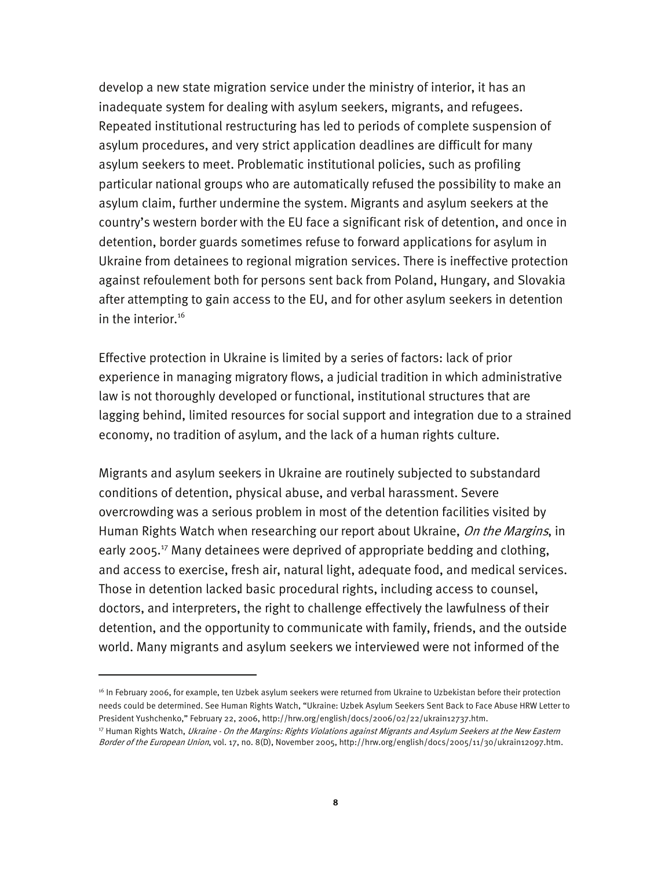develop a new state migration service under the ministry of interior, it has an inadequate system for dealing with asylum seekers, migrants, and refugees. Repeated institutional restructuring has led to periods of complete suspension of asylum procedures, and very strict application deadlines are difficult for many asylum seekers to meet. Problematic institutional policies, such as profiling particular national groups who are automatically refused the possibility to make an asylum claim, further undermine the system. Migrants and asylum seekers at the country's western border with the EU face a significant risk of detention, and once in detention, border guards sometimes refuse to forward applications for asylum in Ukraine from detainees to regional migration services. There is ineffective protection against refoulement both for persons sent back from Poland, Hungary, and Slovakia after attempting to gain access to the EU, and for other asylum seekers in detention in the interior.<sup>16</sup>

Effective protection in Ukraine is limited by a series of factors: lack of prior experience in managing migratory flows, a judicial tradition in which administrative law is not thoroughly developed or functional, institutional structures that are lagging behind, limited resources for social support and integration due to a strained economy, no tradition of asylum, and the lack of a human rights culture.

Migrants and asylum seekers in Ukraine are routinely subjected to substandard conditions of detention, physical abuse, and verbal harassment. Severe overcrowding was a serious problem in most of the detention facilities visited by Human Rights Watch when researching our report about Ukraine, On the Margins, in early 2005.<sup>17</sup> Many detainees were deprived of appropriate bedding and clothing, and access to exercise, fresh air, natural light, adequate food, and medical services. Those in detention lacked basic procedural rights, including access to counsel, doctors, and interpreters, the right to challenge effectively the lawfulness of their detention, and the opportunity to communicate with family, friends, and the outside world. Many migrants and asylum seekers we interviewed were not informed of the

<sup>&</sup>lt;sup>16</sup> In February 2006, for example, ten Uzbek asylum seekers were returned from Ukraine to Uzbekistan before their protection needs could be determined. See Human Rights Watch, "Ukraine: Uzbek Asylum Seekers Sent Back to Face Abuse HRW Letter to President Yushchenko," February 22, 2006, http://hrw.org/english/docs/2006/02/22/ukrain12737.htm.

<sup>&</sup>lt;sup>17</sup> Human Rights Watch, *Ukraine - On the Margins: Rights Violations against Migrants and Asylum Seekers at the New Eastern* Border of the European Union, vol. 17, no. 8(D), November 2005, http://hrw.org/english/docs/2005/11/30/ukrain12097.htm.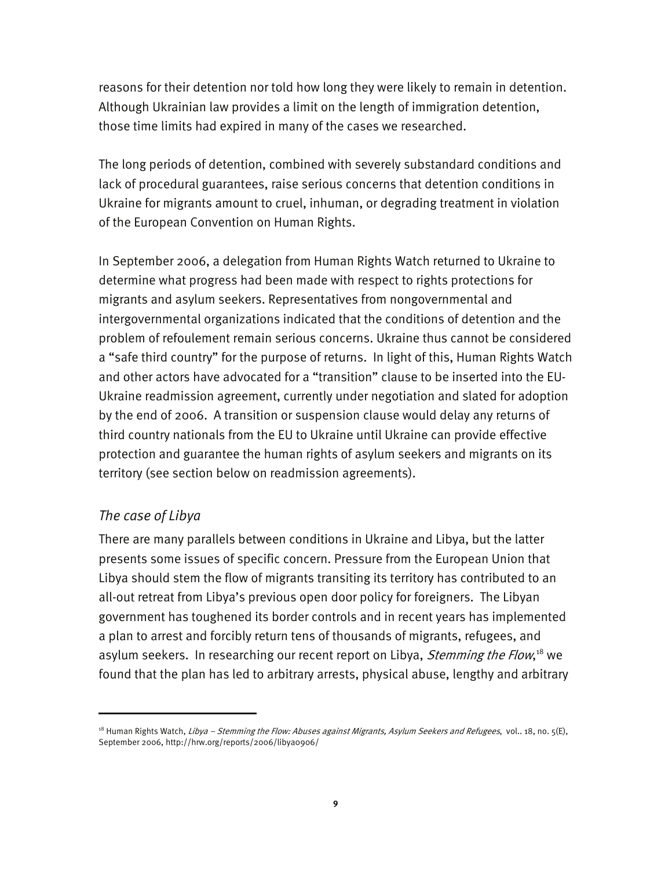reasons for their detention nor told how long they were likely to remain in detention. Although Ukrainian law provides a limit on the length of immigration detention, those time limits had expired in many of the cases we researched.

The long periods of detention, combined with severely substandard conditions and lack of procedural guarantees, raise serious concerns that detention conditions in Ukraine for migrants amount to cruel, inhuman, or degrading treatment in violation of the European Convention on Human Rights.

In September 2006, a delegation from Human Rights Watch returned to Ukraine to determine what progress had been made with respect to rights protections for migrants and asylum seekers. Representatives from nongovernmental and intergovernmental organizations indicated that the conditions of detention and the problem of refoulement remain serious concerns. Ukraine thus cannot be considered a "safe third country" for the purpose of returns. In light of this, Human Rights Watch and other actors have advocated for a "transition" clause to be inserted into the EU-Ukraine readmission agreement, currently under negotiation and slated for adoption by the end of 2006. A transition or suspension clause would delay any returns of third country nationals from the EU to Ukraine until Ukraine can provide effective protection and guarantee the human rights of asylum seekers and migrants on its territory (see section below on readmission agreements).

### *The case of Libya*

-

There are many parallels between conditions in Ukraine and Libya, but the latter presents some issues of specific concern. Pressure from the European Union that Libya should stem the flow of migrants transiting its territory has contributed to an all-out retreat from Libya's previous open door policy for foreigners. The Libyan government has toughened its border controls and in recent years has implemented a plan to arrest and forcibly return tens of thousands of migrants, refugees, and asylum seekers. In researching our recent report on Libya, *Stemming the Flow*,<sup>18</sup> we found that the plan has led to arbitrary arrests, physical abuse, lengthy and arbitrary

<sup>&</sup>lt;sup>18</sup> Human Rights Watch, *Libya – Stemming the Flow: Abuses against Migrants, Asylum Seekers and Refugees, vol.. 18, no. 5(E),* September 2006, http://hrw.org/reports/2006/libya0906/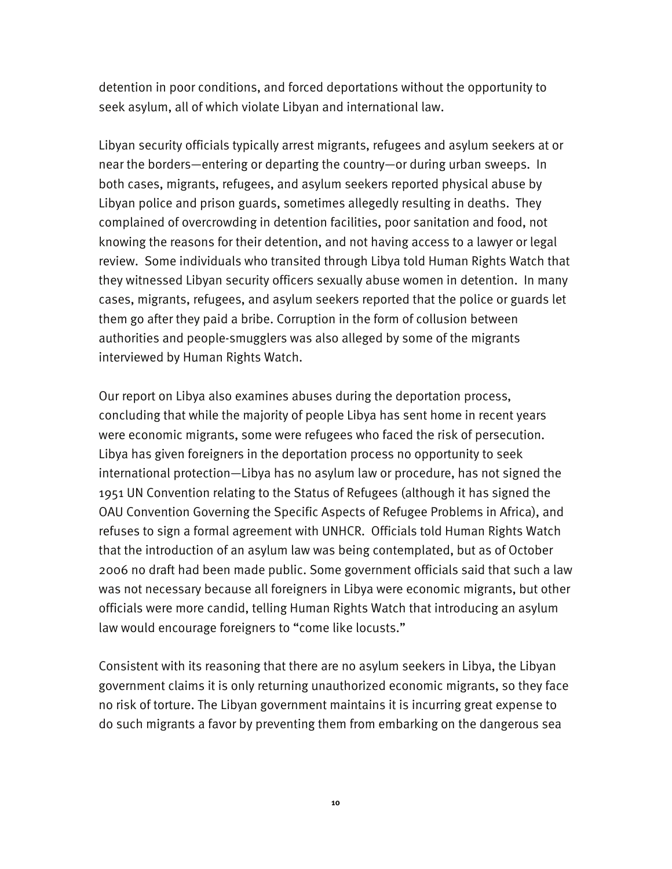detention in poor conditions, and forced deportations without the opportunity to seek asylum, all of which violate Libyan and international law.

Libyan security officials typically arrest migrants, refugees and asylum seekers at or near the borders—entering or departing the country—or during urban sweeps. In both cases, migrants, refugees, and asylum seekers reported physical abuse by Libyan police and prison guards, sometimes allegedly resulting in deaths. They complained of overcrowding in detention facilities, poor sanitation and food, not knowing the reasons for their detention, and not having access to a lawyer or legal review. Some individuals who transited through Libya told Human Rights Watch that they witnessed Libyan security officers sexually abuse women in detention. In many cases, migrants, refugees, and asylum seekers reported that the police or guards let them go after they paid a bribe. Corruption in the form of collusion between authorities and people-smugglers was also alleged by some of the migrants interviewed by Human Rights Watch.

Our report on Libya also examines abuses during the deportation process, concluding that while the majority of people Libya has sent home in recent years were economic migrants, some were refugees who faced the risk of persecution. Libya has given foreigners in the deportation process no opportunity to seek international protection—Libya has no asylum law or procedure, has not signed the 1951 UN Convention relating to the Status of Refugees (although it has signed the OAU Convention Governing the Specific Aspects of Refugee Problems in Africa), and refuses to sign a formal agreement with UNHCR. Officials told Human Rights Watch that the introduction of an asylum law was being contemplated, but as of October 2006 no draft had been made public. Some government officials said that such a law was not necessary because all foreigners in Libya were economic migrants, but other officials were more candid, telling Human Rights Watch that introducing an asylum law would encourage foreigners to "come like locusts."

Consistent with its reasoning that there are no asylum seekers in Libya, the Libyan government claims it is only returning unauthorized economic migrants, so they face no risk of torture. The Libyan government maintains it is incurring great expense to do such migrants a favor by preventing them from embarking on the dangerous sea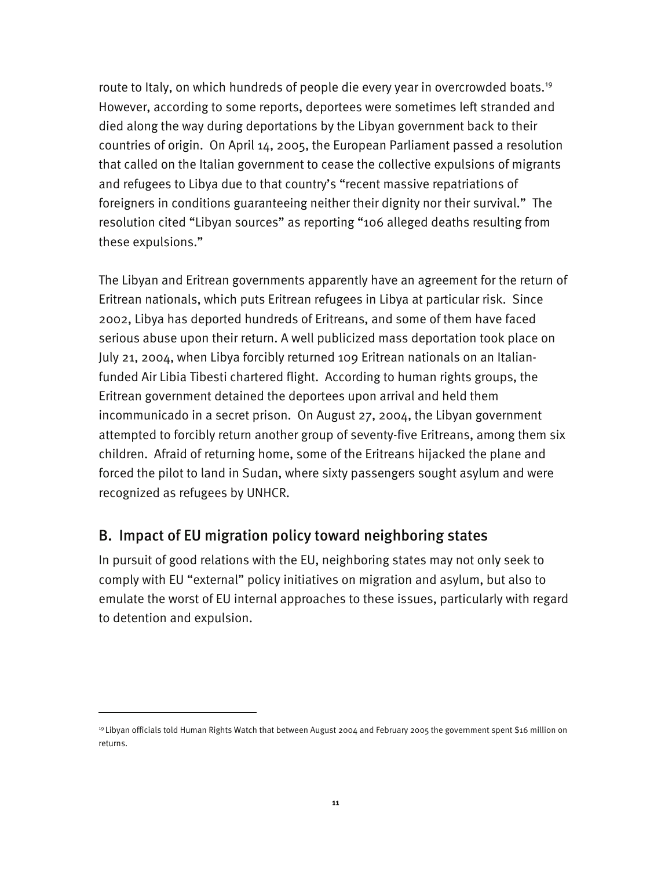route to Italy, on which hundreds of people die every year in overcrowded boats.<sup>19</sup> However, according to some reports, deportees were sometimes left stranded and died along the way during deportations by the Libyan government back to their countries of origin. On April 14, 2005, the European Parliament passed a resolution that called on the Italian government to cease the collective expulsions of migrants and refugees to Libya due to that country's "recent massive repatriations of foreigners in conditions guaranteeing neither their dignity nor their survival." The resolution cited "Libyan sources" as reporting "106 alleged deaths resulting from these expulsions."

The Libyan and Eritrean governments apparently have an agreement for the return of Eritrean nationals, which puts Eritrean refugees in Libya at particular risk. Since 2002, Libya has deported hundreds of Eritreans, and some of them have faced serious abuse upon their return. A well publicized mass deportation took place on July 21, 2004, when Libya forcibly returned 109 Eritrean nationals on an Italianfunded Air Libia Tibesti chartered flight. According to human rights groups, the Eritrean government detained the deportees upon arrival and held them incommunicado in a secret prison. On August 27, 2004, the Libyan government attempted to forcibly return another group of seventy-five Eritreans, among them six children. Afraid of returning home, some of the Eritreans hijacked the plane and forced the pilot to land in Sudan, where sixty passengers sought asylum and were recognized as refugees by UNHCR.

#### B. Impact of EU migration policy toward neighboring states

I

In pursuit of good relations with the EU, neighboring states may not only seek to comply with EU "external" policy initiatives on migration and asylum, but also to emulate the worst of EU internal approaches to these issues, particularly with regard to detention and expulsion.

<sup>19</sup> Libyan officials told Human Rights Watch that between August 2004 and February 2005 the government spent \$16 million on returns.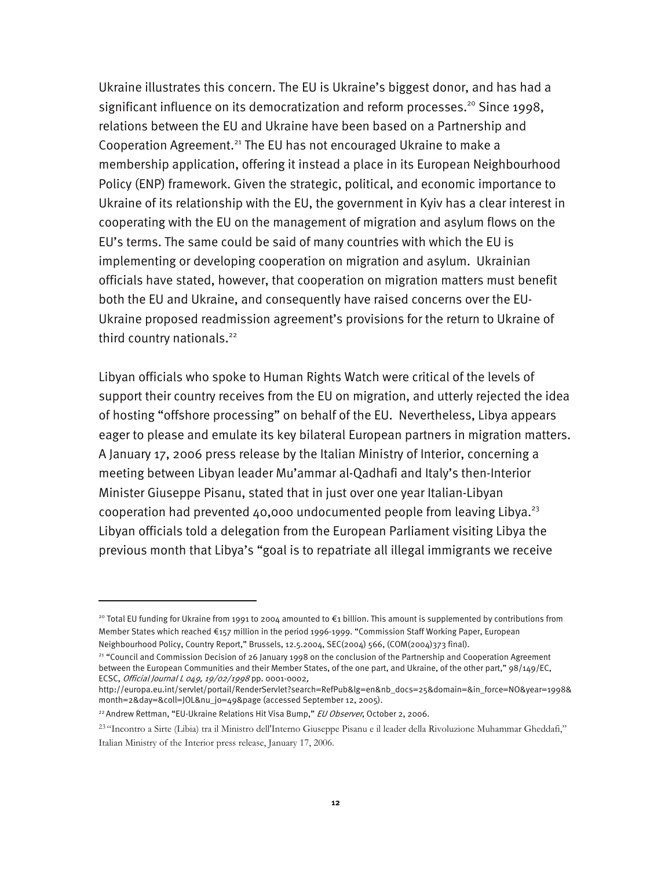Ukraine illustrates this concern. The EU is Ukraine's biggest donor, and has had a significant influence on its democratization and reform processes.<sup>20</sup> Since 1998, relations between the EU and Ukraine have been based on a Partnership and Cooperation Agreement.<sup>21</sup> The EU has not encouraged Ukraine to make a membership application, offering it instead a place in its European Neighbourhood Policy (ENP) framework. Given the strategic, political, and economic importance to Ukraine of its relationship with the EU, the government in Kyiv has a clear interest in cooperating with the EU on the management of migration and asylum flows on the EU's terms. The same could be said of many countries with which the EU is implementing or developing cooperation on migration and asylum. Ukrainian officials have stated, however, that cooperation on migration matters must benefit both the EU and Ukraine, and consequently have raised concerns over the EU-Ukraine proposed readmission agreement's provisions for the return to Ukraine of third country nationals.<sup>22</sup>

Libyan officials who spoke to Human Rights Watch were critical of the levels of support their country receives from the EU on migration, and utterly rejected the idea of hosting "offshore processing" on behalf of the EU. Nevertheless, Libya appears eager to please and emulate its key bilateral European partners in migration matters. A January 17, 2006 press release by the Italian Ministry of Interior, concerning a meeting between Libyan leader Mu'ammar al-Qadhafi and Italy's then-Interior Minister Giuseppe Pisanu, stated that in just over one year Italian-Libyan cooperation had prevented 40,000 undocumented people from leaving Libya.<sup>23</sup> Libyan officials told a delegation from the European Parliament visiting Libya the previous month that Libya's "goal is to repatriate all illegal immigrants we receive

-

<sup>&</sup>lt;sup>20</sup> Total EU funding for Ukraine from 1991 to 2004 amounted to €1 billion. This amount is supplemented by contributions from Member States which reached €157 million in the period 1996-1999. "Commission Staff Working Paper, European Neighbourhood Policy, Country Report," Brussels, 12.5.2004, SEC(2004) 566, (COM(2004)373 final).

<sup>&</sup>lt;sup>21</sup> "Council and Commission Decision of 26 January 1998 on the conclusion of the Partnership and Cooperation Agreement between the European Communities and their Member States, of the one part, and Ukraine, of the other part," 98/149/EC, ECSC, Official Journal L 049, 19/02/1998 pp. 0001-0002,

http://europa.eu.int/servlet/portail/RenderServlet?search=RefPub&lg=en&nb\_docs=25&domain=&in\_force=NO&year=1998& month=2&day=&coll=JOL&nu\_jo=49&page (accessed September 12, 2005).

<sup>&</sup>lt;sup>22</sup> Andrew Rettman, "EU-Ukraine Relations Hit Visa Bump," *EU Observer*, October 2, 2006.

<sup>23</sup> "Incontro a Sirte (Libia) tra il Ministro dell'Interno Giuseppe Pisanu e il leader della Rivoluzione Muhammar Gheddafi," Italian Ministry of the Interior press release, January 17, 2006.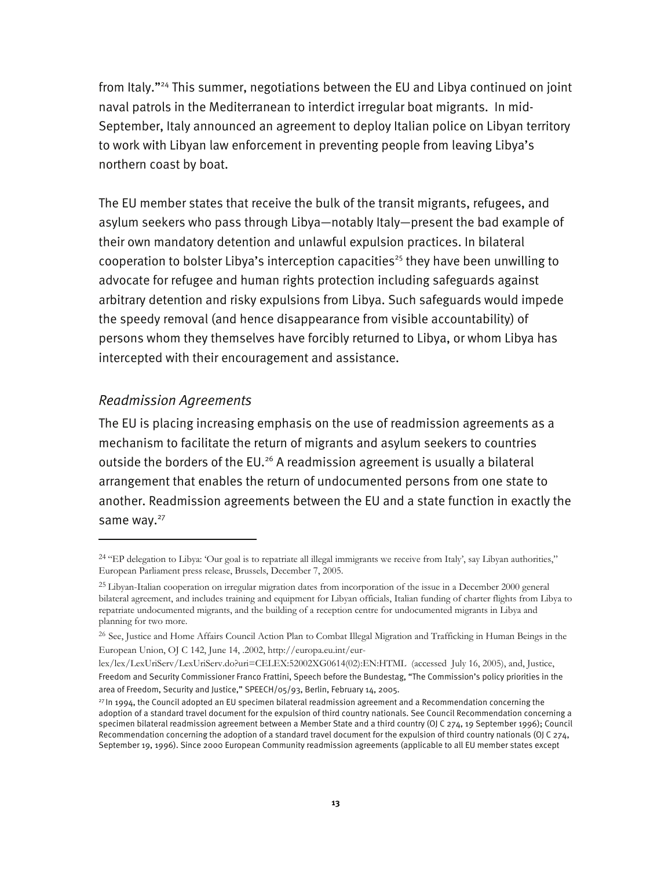from Italy."24 This summer, negotiations between the EU and Libya continued on joint naval patrols in the Mediterranean to interdict irregular boat migrants. In mid-September, Italy announced an agreement to deploy Italian police on Libyan territory to work with Libyan law enforcement in preventing people from leaving Libya's northern coast by boat.

The EU member states that receive the bulk of the transit migrants, refugees, and asylum seekers who pass through Libya—notably Italy—present the bad example of their own mandatory detention and unlawful expulsion practices. In bilateral cooperation to bolster Libya's interception capacities<sup>25</sup> they have been unwilling to advocate for refugee and human rights protection including safeguards against arbitrary detention and risky expulsions from Libya. Such safeguards would impede the speedy removal (and hence disappearance from visible accountability) of persons whom they themselves have forcibly returned to Libya, or whom Libya has intercepted with their encouragement and assistance.

#### *Readmission Agreements*

I

The EU is placing increasing emphasis on the use of readmission agreements as a mechanism to facilitate the return of migrants and asylum seekers to countries outside the borders of the EU.<sup>26</sup> A readmission agreement is usually a bilateral arrangement that enables the return of undocumented persons from one state to another. Readmission agreements between the EU and a state function in exactly the same way.<sup>27</sup>

<sup>&</sup>lt;sup>24</sup> "EP delegation to Libya: 'Our goal is to repatriate all illegal immigrants we receive from Italy', say Libyan authorities," European Parliament press release, Brussels, December 7, 2005.

<sup>25</sup> Libyan-Italian cooperation on irregular migration dates from incorporation of the issue in a December 2000 general bilateral agreement, and includes training and equipment for Libyan officials, Italian funding of charter flights from Libya to repatriate undocumented migrants, and the building of a reception centre for undocumented migrants in Libya and planning for two more.

<sup>&</sup>lt;sup>26</sup> See, Justice and Home Affairs Council Action Plan to Combat Illegal Migration and Trafficking in Human Beings in the European Union, OJ C 142, June 14, .2002, http://europa.eu.int/eur-

lex/lex/LexUriServ/LexUriServ.do?uri=CELEX:52002XG0614(02):EN:HTML (accessed July 16, 2005), and, Justice, Freedom and Security Commissioner Franco Frattini, Speech before the Bundestag, "The Commission's policy priorities in the area of Freedom, Security and Justice," SPEECH/05/93, Berlin, February 14, 2005.

 $27$ In 1994, the Council adopted an EU specimen bilateral readmission agreement and a Recommendation concerning the adoption of a standard travel document for the expulsion of third country nationals. See Council Recommendation concerning a specimen bilateral readmission agreement between a Member State and a third country (OJ C 274, 19 September 1996); Council Recommendation concerning the adoption of a standard travel document for the expulsion of third country nationals (OJ C 274, September 19, 1996). Since 2000 European Community readmission agreements (applicable to all EU member states except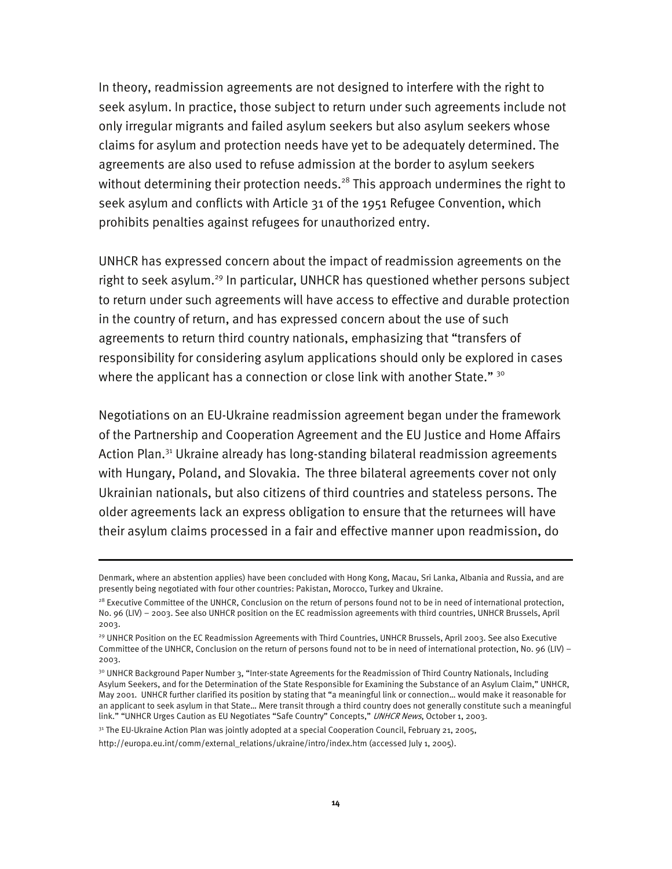In theory, readmission agreements are not designed to interfere with the right to seek asylum. In practice, those subject to return under such agreements include not only irregular migrants and failed asylum seekers but also asylum seekers whose claims for asylum and protection needs have yet to be adequately determined. The agreements are also used to refuse admission at the border to asylum seekers without determining their protection needs.<sup>28</sup> This approach undermines the right to seek asylum and conflicts with Article 31 of the 1951 Refugee Convention, which prohibits penalties against refugees for unauthorized entry.

UNHCR has expressed concern about the impact of readmission agreements on the right to seek asylum.29 In particular, UNHCR has questioned whether persons subject to return under such agreements will have access to effective and durable protection in the country of return, and has expressed concern about the use of such agreements to return third country nationals, emphasizing that "transfers of responsibility for considering asylum applications should only be explored in cases where the applicant has a connection or close link with another State."  $30$ 

Negotiations on an EU-Ukraine readmission agreement began under the framework of the Partnership and Cooperation Agreement and the EU Justice and Home Affairs Action Plan.<sup>31</sup> Ukraine already has long-standing bilateral readmission agreements with Hungary, Poland, and Slovakia. The three bilateral agreements cover not only Ukrainian nationals, but also citizens of third countries and stateless persons. The older agreements lack an express obligation to ensure that the returnees will have their asylum claims processed in a fair and effective manner upon readmission, do

31 The EU-Ukraine Action Plan was jointly adopted at a special Cooperation Council, February 21, 2005,

Denmark, where an abstention applies) have been concluded with Hong Kong, Macau, Sri Lanka, Albania and Russia, and are presently being negotiated with four other countries: Pakistan, Morocco, Turkey and Ukraine.

<sup>&</sup>lt;sup>28</sup> Executive Committee of the UNHCR, Conclusion on the return of persons found not to be in need of international protection, No. 96 (LIV) – 2003. See also UNHCR position on the EC readmission agreements with third countries, UNHCR Brussels, April 2003.

<sup>29</sup> UNHCR Position on the EC Readmission Agreements with Third Countries, UNHCR Brussels, April 2003. See also Executive Committee of the UNHCR, Conclusion on the return of persons found not to be in need of international protection, No. 96 (LIV) -2003.

<sup>&</sup>lt;sup>30</sup> UNHCR Background Paper Number 3, "Inter-state Agreements for the Readmission of Third Country Nationals, Including Asylum Seekers, and for the Determination of the State Responsible for Examining the Substance of an Asylum Claim," UNHCR, May 2001. UNHCR further clarified its position by stating that "a meaningful link or connection… would make it reasonable for an applicant to seek asylum in that State… Mere transit through a third country does not generally constitute such a meaningful link." "UNHCR Urges Caution as EU Negotiates "Safe Country" Concepts," UNHCR News, October 1, 2003.

http://europa.eu.int/comm/external\_relations/ukraine/intro/index.htm (accessed July 1, 2005).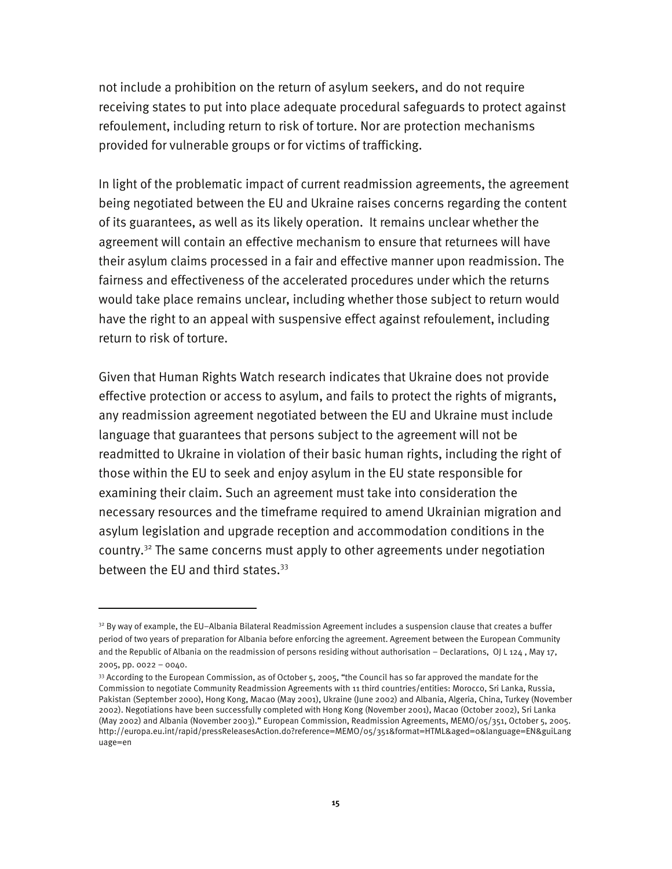not include a prohibition on the return of asylum seekers, and do not require receiving states to put into place adequate procedural safeguards to protect against refoulement, including return to risk of torture. Nor are protection mechanisms provided for vulnerable groups or for victims of trafficking.

In light of the problematic impact of current readmission agreements, the agreement being negotiated between the EU and Ukraine raises concerns regarding the content of its guarantees, as well as its likely operation. It remains unclear whether the agreement will contain an effective mechanism to ensure that returnees will have their asylum claims processed in a fair and effective manner upon readmission. The fairness and effectiveness of the accelerated procedures under which the returns would take place remains unclear, including whether those subject to return would have the right to an appeal with suspensive effect against refoulement, including return to risk of torture.

Given that Human Rights Watch research indicates that Ukraine does not provide effective protection or access to asylum, and fails to protect the rights of migrants, any readmission agreement negotiated between the EU and Ukraine must include language that guarantees that persons subject to the agreement will not be readmitted to Ukraine in violation of their basic human rights, including the right of those within the EU to seek and enjoy asylum in the EU state responsible for examining their claim. Such an agreement must take into consideration the necessary resources and the timeframe required to amend Ukrainian migration and asylum legislation and upgrade reception and accommodation conditions in the country.<sup>32</sup> The same concerns must apply to other agreements under negotiation between the EU and third states. $33$ 

<sup>&</sup>lt;sup>32</sup> By way of example, the EU-Albania Bilateral Readmission Agreement includes a suspension clause that creates a buffer period of two years of preparation for Albania before enforcing the agreement. Agreement between the European Community and the Republic of Albania on the readmission of persons residing without authorisation – Declarations, OJ L 124 , May 17,

<sup>2005,</sup> pp. 0022 – 0040.

 $33$  According to the European Commission, as of October  $5$ , 2005, "the Council has so far approved the mandate for the Commission to negotiate Community Readmission Agreements with 11 third countries/entities: Morocco, Sri Lanka, Russia, Pakistan (September 2000), Hong Kong, Macao (May 2001), Ukraine (June 2002) and Albania, Algeria, China, Turkey (November 2002). Negotiations have been successfully completed with Hong Kong (November 2001), Macao (October 2002), Sri Lanka (May 2002) and Albania (November 2003)." European Commission, Readmission Agreements, MEMO/05/351, October 5, 2005. http://europa.eu.int/rapid/pressReleasesAction.do?reference=MEMO/05/351&format=HTML&aged=0&language=EN&guiLang uage=en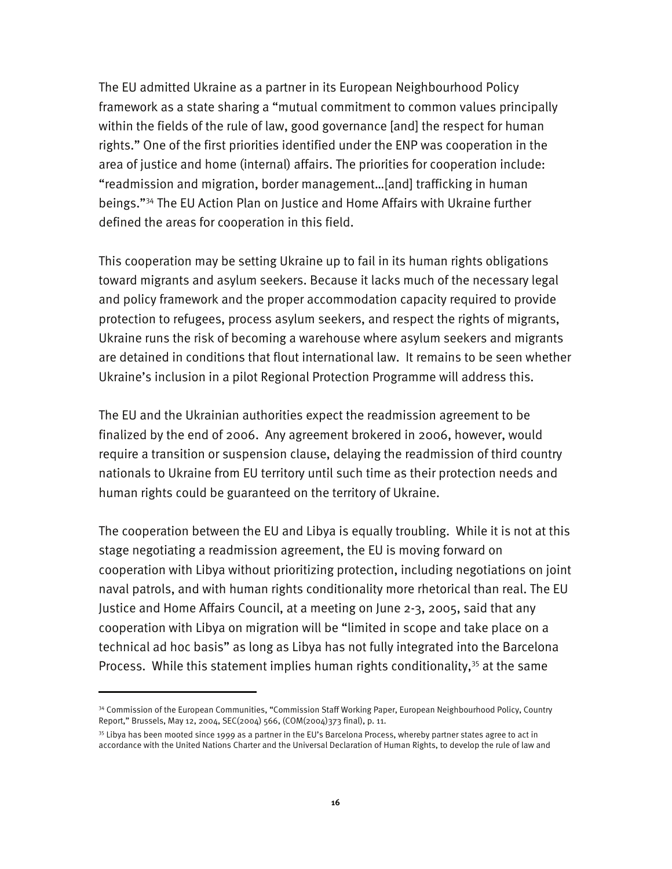The EU admitted Ukraine as a partner in its European Neighbourhood Policy framework as a state sharing a "mutual commitment to common values principally within the fields of the rule of law, good governance [and] the respect for human rights." One of the first priorities identified under the ENP was cooperation in the area of justice and home (internal) affairs. The priorities for cooperation include: "readmission and migration, border management…[and] trafficking in human beings."34 The EU Action Plan on Justice and Home Affairs with Ukraine further defined the areas for cooperation in this field.

This cooperation may be setting Ukraine up to fail in its human rights obligations toward migrants and asylum seekers. Because it lacks much of the necessary legal and policy framework and the proper accommodation capacity required to provide protection to refugees, process asylum seekers, and respect the rights of migrants, Ukraine runs the risk of becoming a warehouse where asylum seekers and migrants are detained in conditions that flout international law. It remains to be seen whether Ukraine's inclusion in a pilot Regional Protection Programme will address this.

The EU and the Ukrainian authorities expect the readmission agreement to be finalized by the end of 2006. Any agreement brokered in 2006, however, would require a transition or suspension clause, delaying the readmission of third country nationals to Ukraine from EU territory until such time as their protection needs and human rights could be guaranteed on the territory of Ukraine.

The cooperation between the EU and Libya is equally troubling. While it is not at this stage negotiating a readmission agreement, the EU is moving forward on cooperation with Libya without prioritizing protection, including negotiations on joint naval patrols, and with human rights conditionality more rhetorical than real. The EU Justice and Home Affairs Council, at a meeting on June 2-3, 2005, said that any cooperation with Libya on migration will be "limited in scope and take place on a technical ad hoc basis" as long as Libya has not fully integrated into the Barcelona Process. While this statement implies human rights conditionality,<sup>35</sup> at the same

<sup>34</sup> Commission of the European Communities, "Commission Staff Working Paper, European Neighbourhood Policy, Country Report," Brussels, May 12, 2004, SEC(2004) 566, (COM(2004)373 final), p. 11.

<sup>&</sup>lt;sup>35</sup> Libya has been mooted since 1999 as a partner in the EU's Barcelona Process, whereby partner states agree to act in accordance with the United Nations Charter and the Universal Declaration of Human Rights, to develop the rule of law and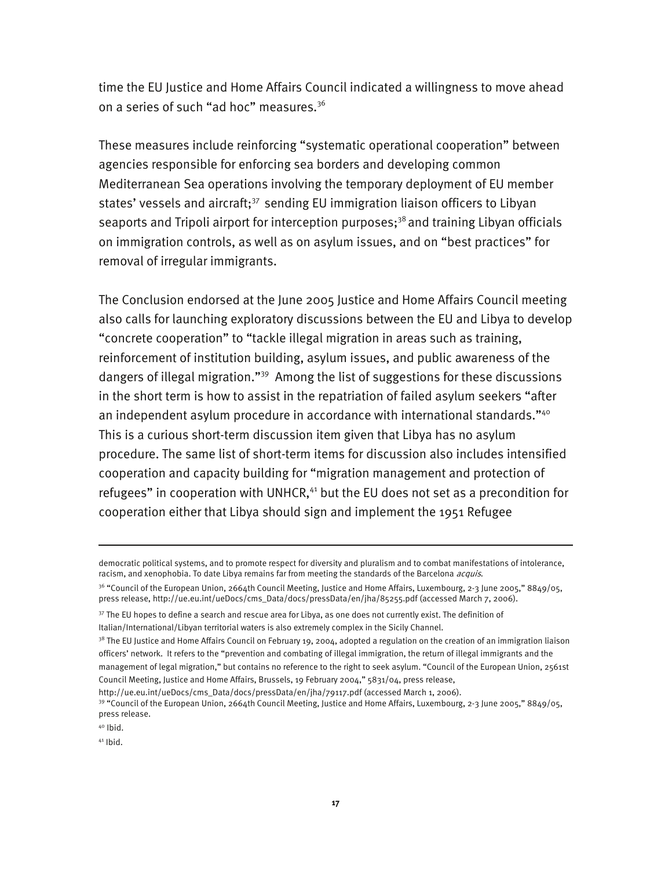time the EU Justice and Home Affairs Council indicated a willingness to move ahead on a series of such "ad hoc" measures.<sup>36</sup>

These measures include reinforcing "systematic operational cooperation" between agencies responsible for enforcing sea borders and developing common Mediterranean Sea operations involving the temporary deployment of EU member states' vessels and aircraft;<sup>37</sup> sending EU immigration liaison officers to Libyan seaports and Tripoli airport for interception purposes;<sup>38</sup> and training Libyan officials on immigration controls, as well as on asylum issues, and on "best practices" for removal of irregular immigrants.

The Conclusion endorsed at the June 2005 Justice and Home Affairs Council meeting also calls for launching exploratory discussions between the EU and Libya to develop "concrete cooperation" to "tackle illegal migration in areas such as training, reinforcement of institution building, asylum issues, and public awareness of the dangers of illegal migration."39 Among the list of suggestions for these discussions in the short term is how to assist in the repatriation of failed asylum seekers "after an independent asylum procedure in accordance with international standards."<sup>40</sup> This is a curious short-term discussion item given that Libya has no asylum procedure. The same list of short-term items for discussion also includes intensified cooperation and capacity building for "migration management and protection of refugees" in cooperation with UNHCR,<sup>41</sup> but the EU does not set as a precondition for cooperation either that Libya should sign and implement the 1951 Refugee

 $40$  Ibid.

I

 $41$  Ibid.

democratic political systems, and to promote respect for diversity and pluralism and to combat manifestations of intolerance, racism, and xenophobia. To date Libya remains far from meeting the standards of the Barcelona *acquis*.

<sup>&</sup>lt;sup>36</sup> "Council of the European Union, 2664th Council Meeting, Justice and Home Affairs, Luxembourg, 2-3 June 2005," 8849/05, press release, http://ue.eu.int/ueDocs/cms\_Data/docs/pressData/en/jha/85255.pdf (accessed March 7, 2006).

<sup>&</sup>lt;sup>37</sup> The EU hopes to define a search and rescue area for Libya, as one does not currently exist. The definition of

Italian/International/Libyan territorial waters is also extremely complex in the Sicily Channel.

<sup>&</sup>lt;sup>38</sup> The EU Justice and Home Affairs Council on February 19, 2004, adopted a regulation on the creation of an immigration liaison officers' network. It refers to the "prevention and combating of illegal immigration, the return of illegal immigrants and the management of legal migration," but contains no reference to the right to seek asylum. "Council of the European Union, 2561st Council Meeting, Justice and Home Affairs, Brussels, 19 February 2004," 5831/04, press release,

http://ue.eu.int/ueDocs/cms\_Data/docs/pressData/en/jha/79117.pdf (accessed March 1, 2006).<br><sup>39</sup> "Council of the European Union, 2664th Council Meeting, Justice and Home Affairs, Luxembourg, 2-3 June 2005," 8849/05, press release.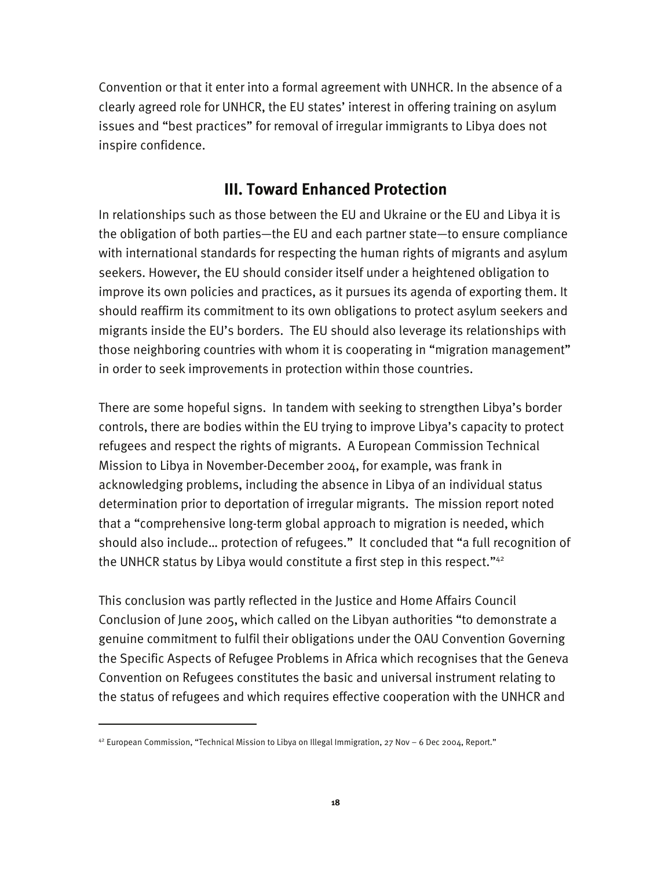Convention or that it enter into a formal agreement with UNHCR. In the absence of a clearly agreed role for UNHCR, the EU states' interest in offering training on asylum issues and "best practices" for removal of irregular immigrants to Libya does not inspire confidence.

## **III. Toward Enhanced Protection**

In relationships such as those between the EU and Ukraine or the EU and Libya it is the obligation of both parties—the EU and each partner state—to ensure compliance with international standards for respecting the human rights of migrants and asylum seekers. However, the EU should consider itself under a heightened obligation to improve its own policies and practices, as it pursues its agenda of exporting them. It should reaffirm its commitment to its own obligations to protect asylum seekers and migrants inside the EU's borders. The EU should also leverage its relationships with those neighboring countries with whom it is cooperating in "migration management" in order to seek improvements in protection within those countries.

There are some hopeful signs. In tandem with seeking to strengthen Libya's border controls, there are bodies within the EU trying to improve Libya's capacity to protect refugees and respect the rights of migrants. A European Commission Technical Mission to Libya in November-December 2004, for example, was frank in acknowledging problems, including the absence in Libya of an individual status determination prior to deportation of irregular migrants. The mission report noted that a "comprehensive long-term global approach to migration is needed, which should also include… protection of refugees." It concluded that "a full recognition of the UNHCR status by Libya would constitute a first step in this respect."<sup>42</sup>

This conclusion was partly reflected in the Justice and Home Affairs Council Conclusion of June 2005, which called on the Libyan authorities "to demonstrate a genuine commitment to fulfil their obligations under the OAU Convention Governing the Specific Aspects of Refugee Problems in Africa which recognises that the Geneva Convention on Refugees constitutes the basic and universal instrument relating to the status of refugees and which requires effective cooperation with the UNHCR and

 $42$  European Commission, "Technical Mission to Libya on Illegal Immigration, 27 Nov – 6 Dec 2004, Report."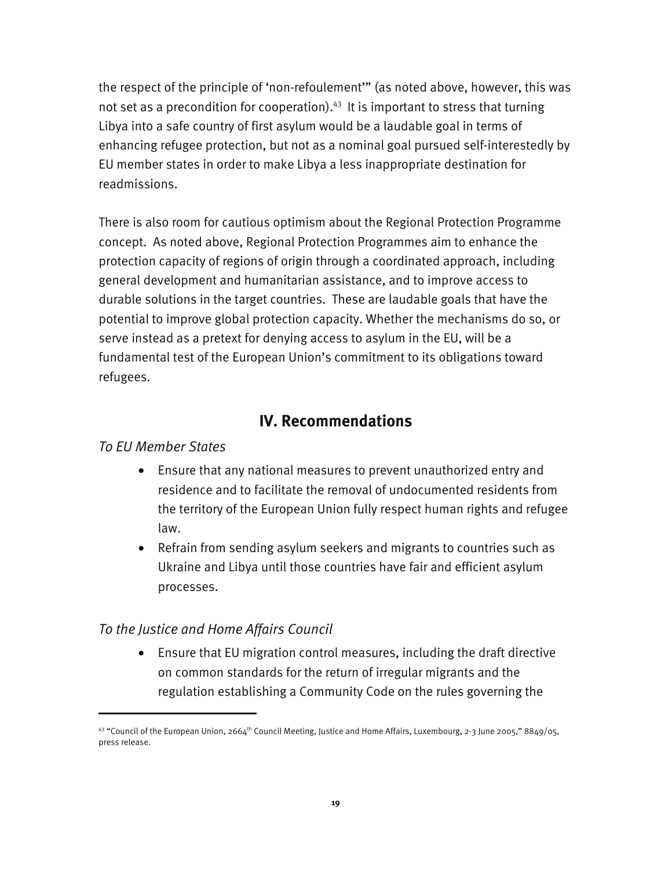the respect of the principle of 'non-refoulement'" (as noted above, however, this was not set as a precondition for cooperation). $43$  It is important to stress that turning Libya into a safe country of first asylum would be a laudable goal in terms of enhancing refugee protection, but not as a nominal goal pursued self-interestedly by EU member states in order to make Libya a less inappropriate destination for readmissions.

There is also room for cautious optimism about the Regional Protection Programme concept. As noted above, Regional Protection Programmes aim to enhance the protection capacity of regions of origin through a coordinated approach, including general development and humanitarian assistance, and to improve access to durable solutions in the target countries. These are laudable goals that have the potential to improve global protection capacity. Whether the mechanisms do so, or serve instead as a pretext for denying access to asylum in the EU, will be a fundamental test of the European Union's commitment to its obligations toward refugees.

## **IV. Recommendations**

#### *To EU Member States*

j

- Ensure that any national measures to prevent unauthorized entry and residence and to facilitate the removal of undocumented residents from the territory of the European Union fully respect human rights and refugee law.
- Refrain from sending asylum seekers and migrants to countries such as Ukraine and Libya until those countries have fair and efficient asylum processes.

#### *To the Justice and Home Affairs Council*

• Ensure that EU migration control measures, including the draft directive on common standards for the return of irregular migrants and the regulation establishing a Community Code on the rules governing the

<sup>43 &</sup>quot;Council of the European Union, 2664<sup>th</sup> Council Meeting, Justice and Home Affairs, Luxembourg, 2-3 June 2005," 8849/05, press release.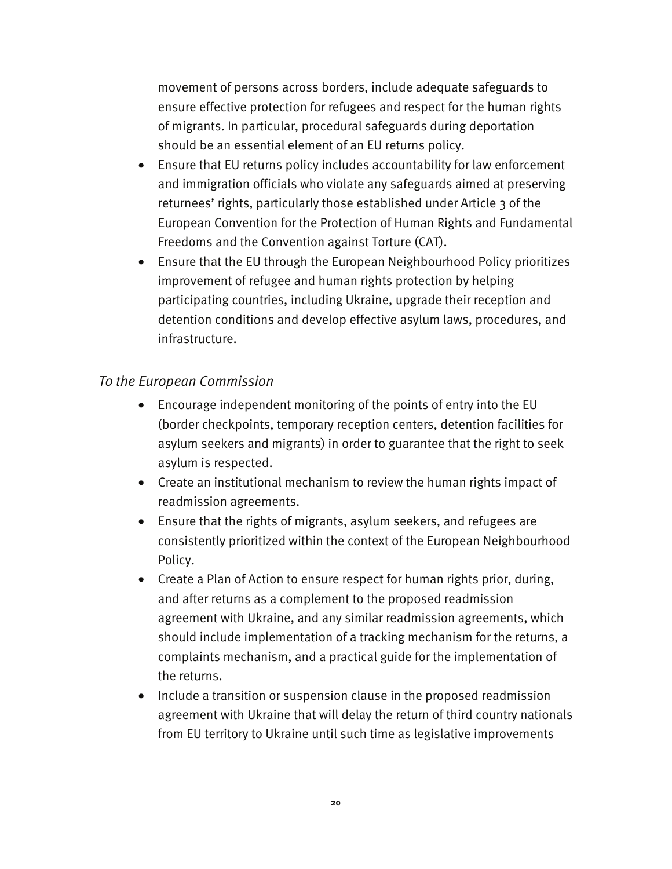movement of persons across borders, include adequate safeguards to ensure effective protection for refugees and respect for the human rights of migrants. In particular, procedural safeguards during deportation should be an essential element of an EU returns policy.

- Ensure that EU returns policy includes accountability for law enforcement and immigration officials who violate any safeguards aimed at preserving returnees' rights, particularly those established under Article 3 of the European Convention for the Protection of Human Rights and Fundamental Freedoms and the Convention against Torture (CAT).
- Ensure that the EU through the European Neighbourhood Policy prioritizes improvement of refugee and human rights protection by helping participating countries, including Ukraine, upgrade their reception and detention conditions and develop effective asylum laws, procedures, and infrastructure.

#### *To the European Commission*

- Encourage independent monitoring of the points of entry into the EU (border checkpoints, temporary reception centers, detention facilities for asylum seekers and migrants) in order to guarantee that the right to seek asylum is respected.
- Create an institutional mechanism to review the human rights impact of readmission agreements.
- Ensure that the rights of migrants, asylum seekers, and refugees are consistently prioritized within the context of the European Neighbourhood Policy.
- Create a Plan of Action to ensure respect for human rights prior, during, and after returns as a complement to the proposed readmission agreement with Ukraine, and any similar readmission agreements, which should include implementation of a tracking mechanism for the returns, a complaints mechanism, and a practical guide for the implementation of the returns.
- Include a transition or suspension clause in the proposed readmission agreement with Ukraine that will delay the return of third country nationals from EU territory to Ukraine until such time as legislative improvements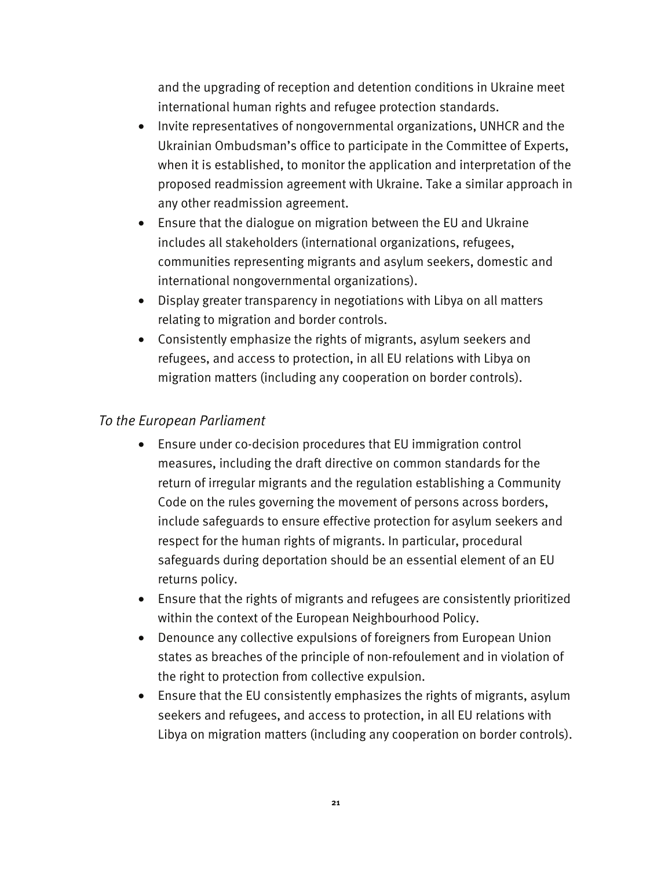and the upgrading of reception and detention conditions in Ukraine meet international human rights and refugee protection standards.

- Invite representatives of nongovernmental organizations, UNHCR and the Ukrainian Ombudsman's office to participate in the Committee of Experts, when it is established, to monitor the application and interpretation of the proposed readmission agreement with Ukraine. Take a similar approach in any other readmission agreement.
- Ensure that the dialogue on migration between the EU and Ukraine includes all stakeholders (international organizations, refugees, communities representing migrants and asylum seekers, domestic and international nongovernmental organizations).
- Display greater transparency in negotiations with Libya on all matters relating to migration and border controls.
- Consistently emphasize the rights of migrants, asylum seekers and refugees, and access to protection, in all EU relations with Libya on migration matters (including any cooperation on border controls).

#### *To the European Parliament*

- Ensure under co-decision procedures that EU immigration control measures, including the draft directive on common standards for the return of irregular migrants and the regulation establishing a Community Code on the rules governing the movement of persons across borders, include safeguards to ensure effective protection for asylum seekers and respect for the human rights of migrants. In particular, procedural safeguards during deportation should be an essential element of an EU returns policy.
- Ensure that the rights of migrants and refugees are consistently prioritized within the context of the European Neighbourhood Policy.
- Denounce any collective expulsions of foreigners from European Union states as breaches of the principle of non-refoulement and in violation of the right to protection from collective expulsion.
- Ensure that the EU consistently emphasizes the rights of migrants, asylum seekers and refugees, and access to protection, in all EU relations with Libya on migration matters (including any cooperation on border controls).